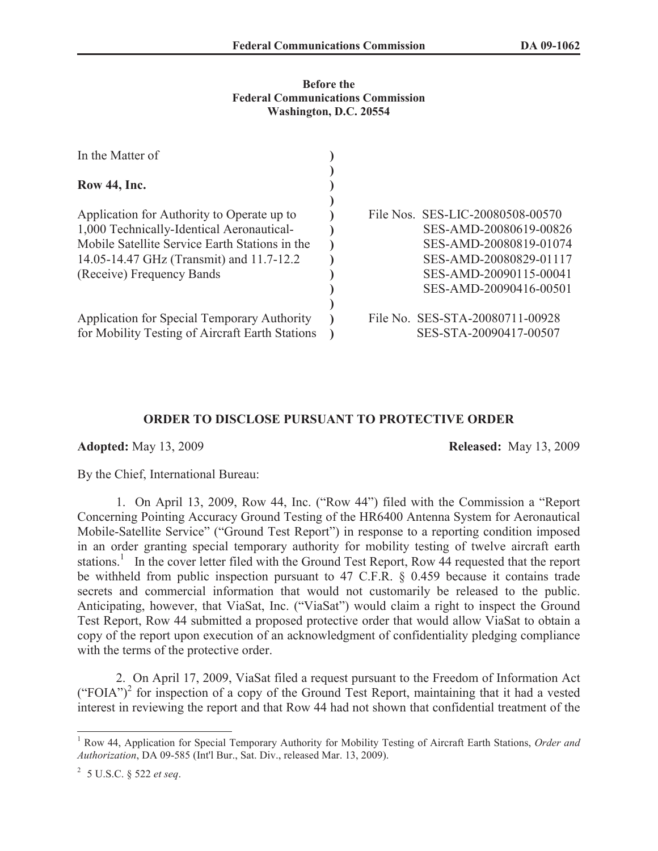#### **Before the Federal Communications Commission Washington, D.C. 20554**

| In the Matter of                                                                                                                                                                                                   |                                                                                                                                                                    |
|--------------------------------------------------------------------------------------------------------------------------------------------------------------------------------------------------------------------|--------------------------------------------------------------------------------------------------------------------------------------------------------------------|
| Row 44, Inc.                                                                                                                                                                                                       |                                                                                                                                                                    |
| Application for Authority to Operate up to<br>1,000 Technically-Identical Aeronautical-<br>Mobile Satellite Service Earth Stations in the<br>14.05-14.47 GHz (Transmit) and 11.7-12.2<br>(Receive) Frequency Bands | File Nos. SES-LIC-20080508-00570<br>SES-AMD-20080619-00826<br>SES-AMD-20080819-01074<br>SES-AMD-20080829-01117<br>SES-AMD-20090115-00041<br>SES-AMD-20090416-00501 |
| Application for Special Temporary Authority<br>for Mobility Testing of Aircraft Earth Stations                                                                                                                     | File No. SES-STA-20080711-00928<br>SES-STA-20090417-00507                                                                                                          |

## **ORDER TO DISCLOSE PURSUANT TO PROTECTIVE ORDER**

**Adopted:** May 13, 2009 **Released:** May 13, 2009

By the Chief, International Bureau:

1. On April 13, 2009, Row 44, Inc. ("Row 44") filed with the Commission a "Report Concerning Pointing Accuracy Ground Testing of the HR6400 Antenna System for Aeronautical Mobile-Satellite Service" ("Ground Test Report") in response to a reporting condition imposed in an order granting special temporary authority for mobility testing of twelve aircraft earth stations.<sup>1</sup> In the cover letter filed with the Ground Test Report, Row 44 requested that the report be withheld from public inspection pursuant to 47 C.F.R. § 0.459 because it contains trade secrets and commercial information that would not customarily be released to the public. Anticipating, however, that ViaSat, Inc. ("ViaSat") would claim a right to inspect the Ground Test Report, Row 44 submitted a proposed protective order that would allow ViaSat to obtain a copy of the report upon execution of an acknowledgment of confidentiality pledging compliance with the terms of the protective order.

2. On April 17, 2009, ViaSat filed a request pursuant to the Freedom of Information Act  $("FOIA")<sup>2</sup>$  for inspection of a copy of the Ground Test Report, maintaining that it had a vested interest in reviewing the report and that Row 44 had not shown that confidential treatment of the

<sup>1</sup> Row 44, Application for Special Temporary Authority for Mobility Testing of Aircraft Earth Stations, *Order and Authorization*, DA 09-585 (Int'l Bur., Sat. Div., released Mar. 13, 2009).

<sup>2</sup> 5 U.S.C. § 522 *et seq*.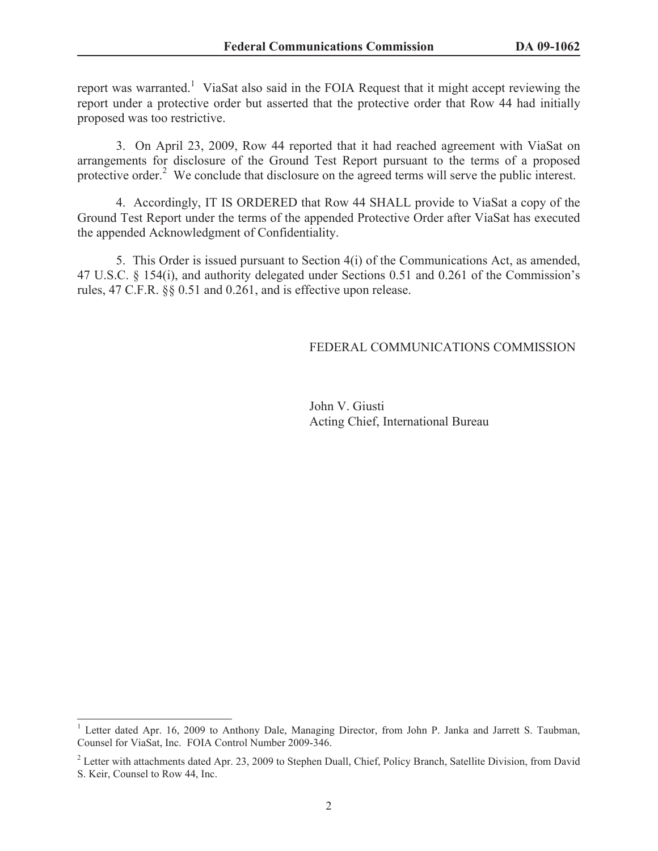report was warranted.<sup>1</sup> ViaSat also said in the FOIA Request that it might accept reviewing the report under a protective order but asserted that the protective order that Row 44 had initially proposed was too restrictive.

3. On April 23, 2009, Row 44 reported that it had reached agreement with ViaSat on arrangements for disclosure of the Ground Test Report pursuant to the terms of a proposed protective order.<sup>2</sup> We conclude that disclosure on the agreed terms will serve the public interest.

4. Accordingly, IT IS ORDERED that Row 44 SHALL provide to ViaSat a copy of the Ground Test Report under the terms of the appended Protective Order after ViaSat has executed the appended Acknowledgment of Confidentiality.

5. This Order is issued pursuant to Section 4(i) of the Communications Act, as amended, 47 U.S.C. § 154(i), and authority delegated under Sections 0.51 and 0.261 of the Commission's rules, 47 C.F.R. §§ 0.51 and 0.261, and is effective upon release.

#### FEDERAL COMMUNICATIONS COMMISSION

John V. Giusti Acting Chief, International Bureau

<sup>&</sup>lt;sup>1</sup> Letter dated Apr. 16, 2009 to Anthony Dale, Managing Director, from John P. Janka and Jarrett S. Taubman, Counsel for ViaSat, Inc. FOIA Control Number 2009-346.

 $2$  Letter with attachments dated Apr. 23, 2009 to Stephen Duall, Chief, Policy Branch, Satellite Division, from David S. Keir, Counsel to Row 44, Inc.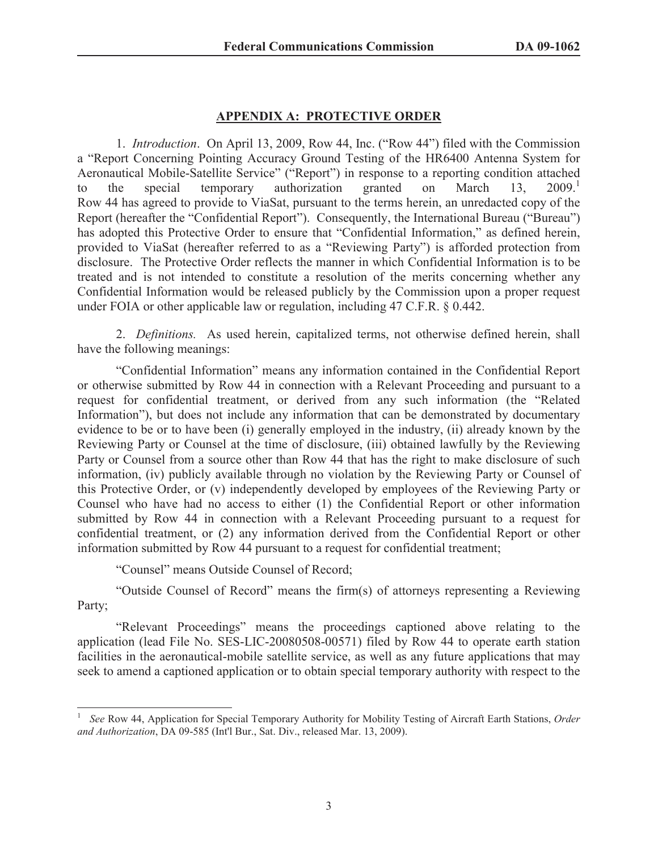### **APPENDIX A: PROTECTIVE ORDER**

1. *Introduction*. On April 13, 2009, Row 44, Inc. ("Row 44") filed with the Commission a "Report Concerning Pointing Accuracy Ground Testing of the HR6400 Antenna System for Aeronautical Mobile-Satellite Service" ("Report") in response to a reporting condition attached to the special temporary authorization granted on March 13, 2009. Row 44 has agreed to provide to ViaSat, pursuant to the terms herein, an unredacted copy of the Report (hereafter the "Confidential Report"). Consequently, the International Bureau ("Bureau") has adopted this Protective Order to ensure that "Confidential Information," as defined herein, provided to ViaSat (hereafter referred to as a "Reviewing Party") is afforded protection from disclosure. The Protective Order reflects the manner in which Confidential Information is to be treated and is not intended to constitute a resolution of the merits concerning whether any Confidential Information would be released publicly by the Commission upon a proper request under FOIA or other applicable law or regulation, including 47 C.F.R. § 0.442.

2. *Definitions.* As used herein, capitalized terms, not otherwise defined herein, shall have the following meanings:

"Confidential Information" means any information contained in the Confidential Report or otherwise submitted by Row 44 in connection with a Relevant Proceeding and pursuant to a request for confidential treatment, or derived from any such information (the "Related Information"), but does not include any information that can be demonstrated by documentary evidence to be or to have been (i) generally employed in the industry, (ii) already known by the Reviewing Party or Counsel at the time of disclosure, (iii) obtained lawfully by the Reviewing Party or Counsel from a source other than Row 44 that has the right to make disclosure of such information, (iv) publicly available through no violation by the Reviewing Party or Counsel of this Protective Order, or (v) independently developed by employees of the Reviewing Party or Counsel who have had no access to either (1) the Confidential Report or other information submitted by Row 44 in connection with a Relevant Proceeding pursuant to a request for confidential treatment, or (2) any information derived from the Confidential Report or other information submitted by Row 44 pursuant to a request for confidential treatment;

"Counsel" means Outside Counsel of Record;

"Outside Counsel of Record" means the firm(s) of attorneys representing a Reviewing Party;

"Relevant Proceedings" means the proceedings captioned above relating to the application (lead File No. SES-LIC-20080508-00571) filed by Row 44 to operate earth station facilities in the aeronautical-mobile satellite service, as well as any future applications that may seek to amend a captioned application or to obtain special temporary authority with respect to the

<sup>1</sup> *See* Row 44, Application for Special Temporary Authority for Mobility Testing of Aircraft Earth Stations, *Order and Authorization*, DA 09-585 (Int'l Bur., Sat. Div., released Mar. 13, 2009).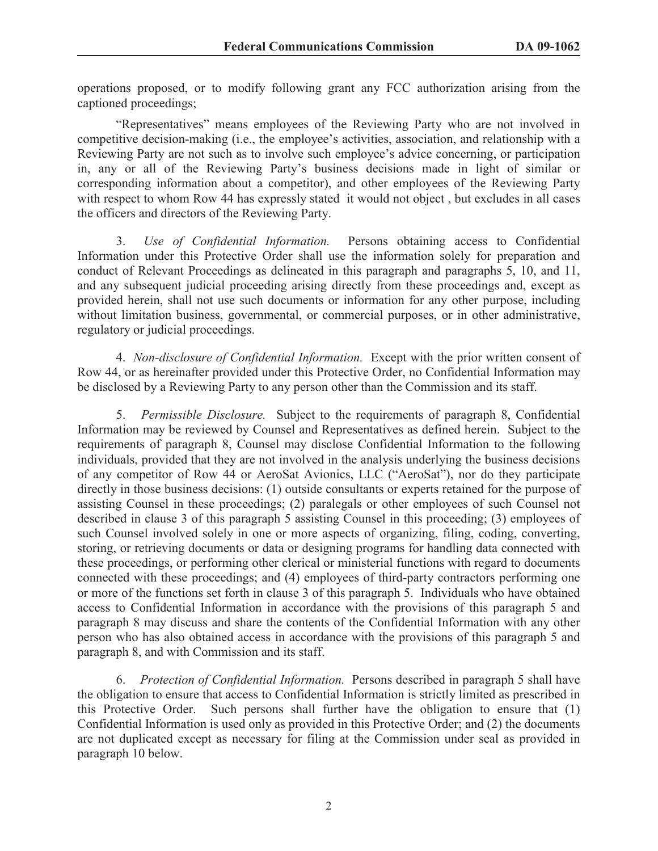operations proposed, or to modify following grant any FCC authorization arising from the captioned proceedings;

"Representatives" means employees of the Reviewing Party who are not involved in competitive decision-making (i.e., the employee's activities, association, and relationship with a Reviewing Party are not such as to involve such employee's advice concerning, or participation in, any or all of the Reviewing Party's business decisions made in light of similar or corresponding information about a competitor), and other employees of the Reviewing Party with respect to whom Row 44 has expressly stated it would not object, but excludes in all cases the officers and directors of the Reviewing Party.

3. *Use of Confidential Information.* Persons obtaining access to Confidential Information under this Protective Order shall use the information solely for preparation and conduct of Relevant Proceedings as delineated in this paragraph and paragraphs 5, 10, and 11, and any subsequent judicial proceeding arising directly from these proceedings and, except as provided herein, shall not use such documents or information for any other purpose, including without limitation business, governmental, or commercial purposes, or in other administrative, regulatory or judicial proceedings.

4. *Non-disclosure of Confidential Information.* Except with the prior written consent of Row 44, or as hereinafter provided under this Protective Order, no Confidential Information may be disclosed by a Reviewing Party to any person other than the Commission and its staff.

5. *Permissible Disclosure.* Subject to the requirements of paragraph 8, Confidential Information may be reviewed by Counsel and Representatives as defined herein. Subject to the requirements of paragraph 8, Counsel may disclose Confidential Information to the following individuals, provided that they are not involved in the analysis underlying the business decisions of any competitor of Row 44 or AeroSat Avionics, LLC ("AeroSat"), nor do they participate directly in those business decisions: (1) outside consultants or experts retained for the purpose of assisting Counsel in these proceedings; (2) paralegals or other employees of such Counsel not described in clause 3 of this paragraph 5 assisting Counsel in this proceeding; (3) employees of such Counsel involved solely in one or more aspects of organizing, filing, coding, converting, storing, or retrieving documents or data or designing programs for handling data connected with these proceedings, or performing other clerical or ministerial functions with regard to documents connected with these proceedings; and (4) employees of third-party contractors performing one or more of the functions set forth in clause 3 of this paragraph 5. Individuals who have obtained access to Confidential Information in accordance with the provisions of this paragraph 5 and paragraph 8 may discuss and share the contents of the Confidential Information with any other person who has also obtained access in accordance with the provisions of this paragraph 5 and paragraph 8, and with Commission and its staff.

6. *Protection of Confidential Information.* Persons described in paragraph 5 shall have the obligation to ensure that access to Confidential Information is strictly limited as prescribed in this Protective Order. Such persons shall further have the obligation to ensure that (1) Confidential Information is used only as provided in this Protective Order; and (2) the documents are not duplicated except as necessary for filing at the Commission under seal as provided in paragraph 10 below.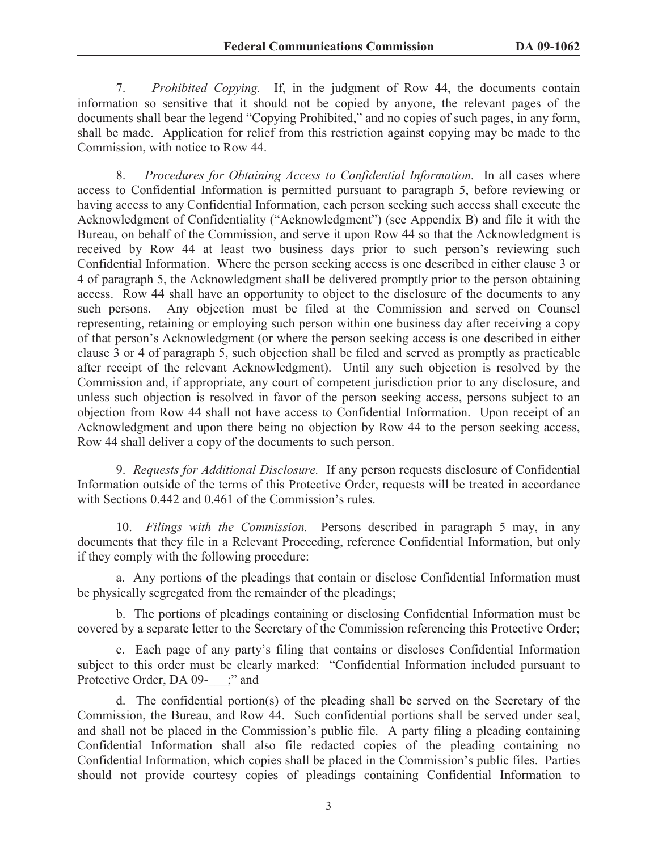7. *Prohibited Copying.* If, in the judgment of Row 44, the documents contain information so sensitive that it should not be copied by anyone, the relevant pages of the documents shall bear the legend "Copying Prohibited," and no copies of such pages, in any form, shall be made. Application for relief from this restriction against copying may be made to the Commission, with notice to Row 44.

8. *Procedures for Obtaining Access to Confidential Information.* In all cases where access to Confidential Information is permitted pursuant to paragraph 5, before reviewing or having access to any Confidential Information, each person seeking such access shall execute the Acknowledgment of Confidentiality ("Acknowledgment") (see Appendix B) and file it with the Bureau, on behalf of the Commission, and serve it upon Row 44 so that the Acknowledgment is received by Row 44 at least two business days prior to such person's reviewing such Confidential Information. Where the person seeking access is one described in either clause 3 or 4 of paragraph 5, the Acknowledgment shall be delivered promptly prior to the person obtaining access. Row 44 shall have an opportunity to object to the disclosure of the documents to any such persons. Any objection must be filed at the Commission and served on Counsel representing, retaining or employing such person within one business day after receiving a copy of that person's Acknowledgment (or where the person seeking access is one described in either clause 3 or 4 of paragraph 5, such objection shall be filed and served as promptly as practicable after receipt of the relevant Acknowledgment). Until any such objection is resolved by the Commission and, if appropriate, any court of competent jurisdiction prior to any disclosure, and unless such objection is resolved in favor of the person seeking access, persons subject to an objection from Row 44 shall not have access to Confidential Information. Upon receipt of an Acknowledgment and upon there being no objection by Row 44 to the person seeking access, Row 44 shall deliver a copy of the documents to such person.

9. *Requests for Additional Disclosure.* If any person requests disclosure of Confidential Information outside of the terms of this Protective Order, requests will be treated in accordance with Sections 0.442 and 0.461 of the Commission's rules.

10. *Filings with the Commission.* Persons described in paragraph 5 may, in any documents that they file in a Relevant Proceeding, reference Confidential Information, but only if they comply with the following procedure:

a. Any portions of the pleadings that contain or disclose Confidential Information must be physically segregated from the remainder of the pleadings;

b. The portions of pleadings containing or disclosing Confidential Information must be covered by a separate letter to the Secretary of the Commission referencing this Protective Order;

c. Each page of any party's filing that contains or discloses Confidential Information subject to this order must be clearly marked: "Confidential Information included pursuant to Protective Order, DA 09-  $\therefore$  and

d. The confidential portion(s) of the pleading shall be served on the Secretary of the Commission, the Bureau, and Row 44. Such confidential portions shall be served under seal, and shall not be placed in the Commission's public file. A party filing a pleading containing Confidential Information shall also file redacted copies of the pleading containing no Confidential Information, which copies shall be placed in the Commission's public files. Parties should not provide courtesy copies of pleadings containing Confidential Information to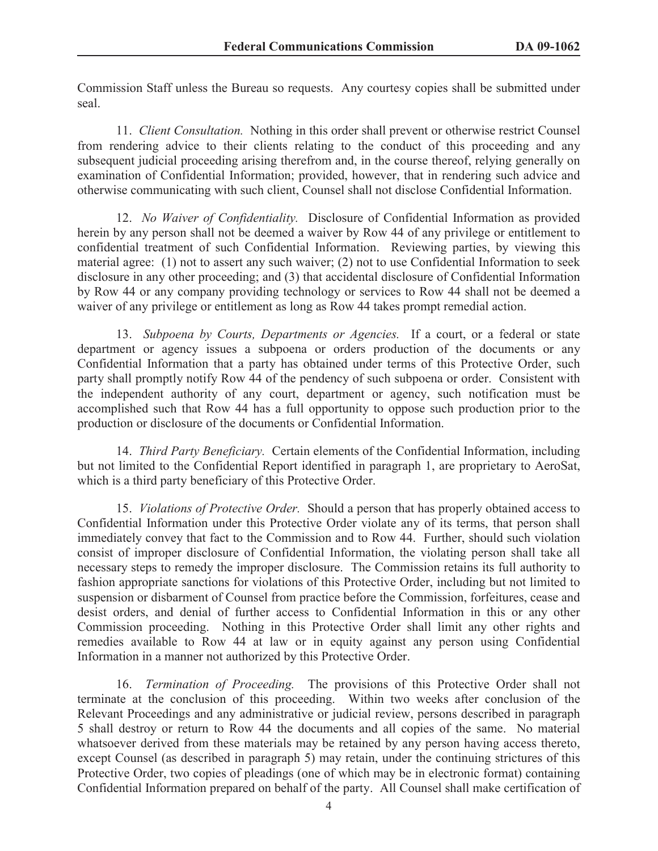Commission Staff unless the Bureau so requests. Any courtesy copies shall be submitted under seal.

11. *Client Consultation.* Nothing in this order shall prevent or otherwise restrict Counsel from rendering advice to their clients relating to the conduct of this proceeding and any subsequent judicial proceeding arising therefrom and, in the course thereof, relying generally on examination of Confidential Information; provided, however, that in rendering such advice and otherwise communicating with such client, Counsel shall not disclose Confidential Information.

12. *No Waiver of Confidentiality.* Disclosure of Confidential Information as provided herein by any person shall not be deemed a waiver by Row 44 of any privilege or entitlement to confidential treatment of such Confidential Information. Reviewing parties, by viewing this material agree: (1) not to assert any such waiver; (2) not to use Confidential Information to seek disclosure in any other proceeding; and (3) that accidental disclosure of Confidential Information by Row 44 or any company providing technology or services to Row 44 shall not be deemed a waiver of any privilege or entitlement as long as Row 44 takes prompt remedial action.

13. *Subpoena by Courts, Departments or Agencies.* If a court, or a federal or state department or agency issues a subpoena or orders production of the documents or any Confidential Information that a party has obtained under terms of this Protective Order, such party shall promptly notify Row 44 of the pendency of such subpoena or order. Consistent with the independent authority of any court, department or agency, such notification must be accomplished such that Row 44 has a full opportunity to oppose such production prior to the production or disclosure of the documents or Confidential Information.

14. *Third Party Beneficiary.* Certain elements of the Confidential Information, including but not limited to the Confidential Report identified in paragraph 1, are proprietary to AeroSat, which is a third party beneficiary of this Protective Order.

15. *Violations of Protective Order.* Should a person that has properly obtained access to Confidential Information under this Protective Order violate any of its terms, that person shall immediately convey that fact to the Commission and to Row 44. Further, should such violation consist of improper disclosure of Confidential Information, the violating person shall take all necessary steps to remedy the improper disclosure. The Commission retains its full authority to fashion appropriate sanctions for violations of this Protective Order, including but not limited to suspension or disbarment of Counsel from practice before the Commission, forfeitures, cease and desist orders, and denial of further access to Confidential Information in this or any other Commission proceeding. Nothing in this Protective Order shall limit any other rights and remedies available to Row 44 at law or in equity against any person using Confidential Information in a manner not authorized by this Protective Order.

16. *Termination of Proceeding.* The provisions of this Protective Order shall not terminate at the conclusion of this proceeding. Within two weeks after conclusion of the Relevant Proceedings and any administrative or judicial review, persons described in paragraph 5 shall destroy or return to Row 44 the documents and all copies of the same. No material whatsoever derived from these materials may be retained by any person having access thereto, except Counsel (as described in paragraph 5) may retain, under the continuing strictures of this Protective Order, two copies of pleadings (one of which may be in electronic format) containing Confidential Information prepared on behalf of the party. All Counsel shall make certification of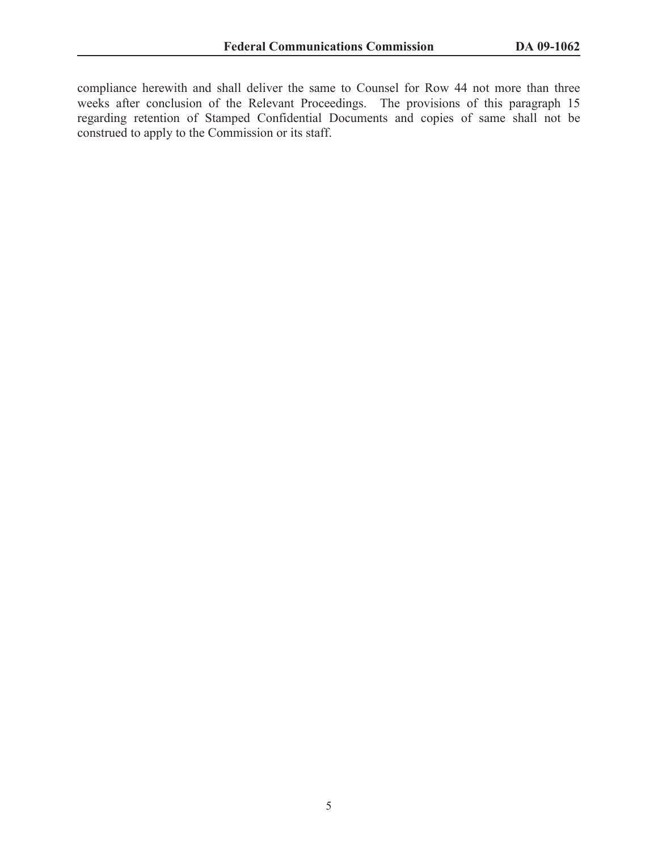compliance herewith and shall deliver the same to Counsel for Row 44 not more than three weeks after conclusion of the Relevant Proceedings. The provisions of this paragraph 15 regarding retention of Stamped Confidential Documents and copies of same shall not be construed to apply to the Commission or its staff.